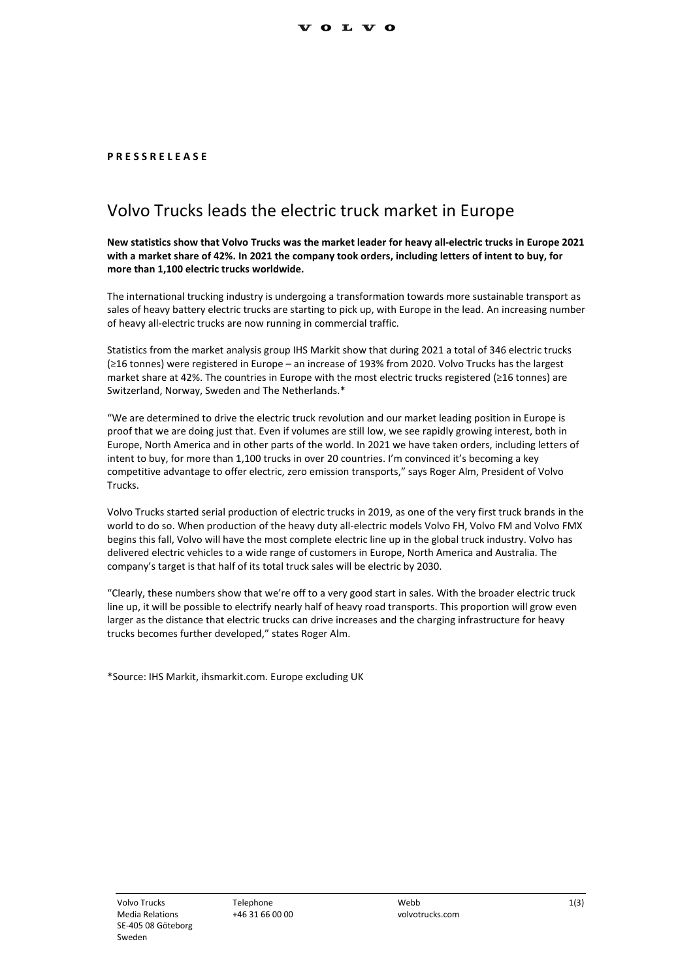## **P R E S S R E L E A S E**

## Volvo Trucks leads the electric truck market in Europe

**New statistics show that Volvo Trucks was the market leader for heavy all-electric trucks in Europe 2021 with a market share of 42%. In 2021 the company took orders, including letters of intent to buy, for more than 1,100 electric trucks worldwide.**

The international trucking industry is undergoing a transformation towards more sustainable transport as sales of heavy battery electric trucks are starting to pick up, with Europe in the lead. An increasing number of heavy all-electric trucks are now running in commercial traffic.

Statistics from the market analysis group IHS Markit show that during 2021 a total of 346 electric trucks (≥16 tonnes) were registered in Europe – an increase of 193% from 2020. Volvo Trucks has the largest market share at 42%. The countries in Europe with the most electric trucks registered (≥16 tonnes) are Switzerland, Norway, Sweden and The Netherlands.\*

"We are determined to drive the electric truck revolution and our market leading position in Europe is proof that we are doing just that. Even if volumes are still low, we see rapidly growing interest, both in Europe, North America and in other parts of the world. In 2021 we have taken orders, including letters of intent to buy, for more than 1,100 trucks in over 20 countries. I'm convinced it's becoming a key competitive advantage to offer electric, zero emission transports," says Roger Alm, President of Volvo Trucks.

Volvo Trucks started serial production of electric trucks in 2019, as one of the very first truck brands in the world to do so. When production of the heavy duty all-electric models Volvo FH, Volvo FM and Volvo FMX begins this fall, Volvo will have the most complete electric line up in the global truck industry. Volvo has delivered electric vehicles to a wide range of customers in Europe, North America and Australia. The company's target is that half of its total truck sales will be electric by 2030.

"Clearly, these numbers show that we're off to a very good start in sales. With the broader electric truck line up, it will be possible to electrify nearly half of heavy road transports. This proportion will grow even larger as the distance that electric trucks can drive increases and the charging infrastructure for heavy trucks becomes further developed," states Roger Alm.

\*Source: IHS Markit, ihsmarkit.com. Europe excluding UK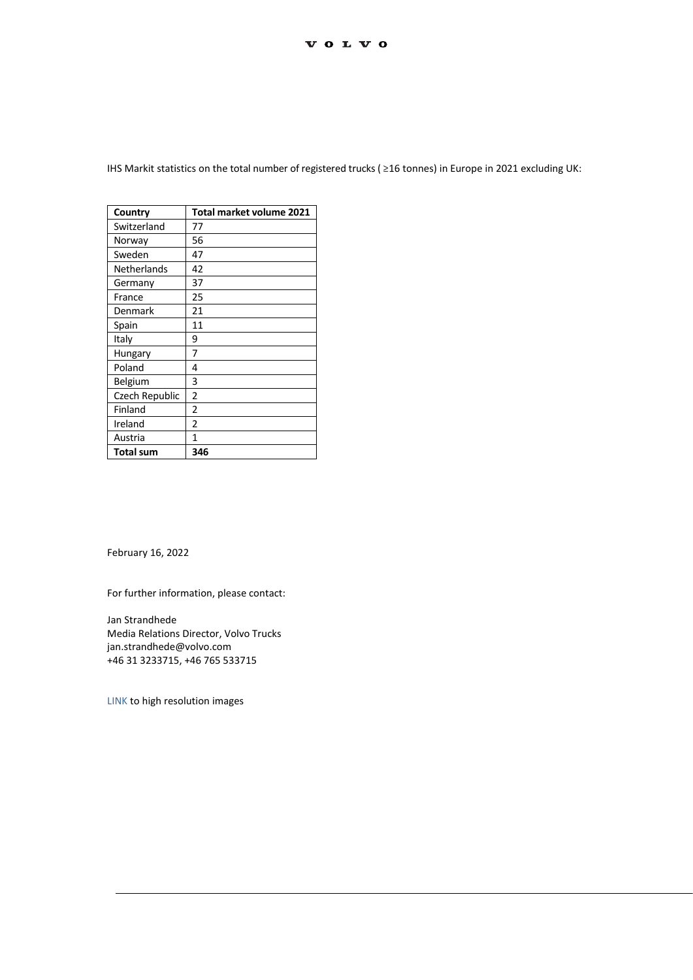| Country        | Total market volume 2021 |
|----------------|--------------------------|
| Switzerland    | 77                       |
| Norway         | 56                       |
| Sweden         | 47                       |
| Netherlands    | 42                       |
| Germany        | 37                       |
| France         | 25                       |
| Denmark        | 21                       |
| Spain          | 11                       |
| Italy          | 9                        |
| Hungary        | 7                        |
| Poland         | 4                        |
| Belgium        | 3                        |
| Czech Republic | 2                        |
| Finland        | 2                        |
| Ireland        | $\overline{2}$           |
| Austria        | 1                        |
| Total sum      | 346                      |

IHS Markit statistics on the total number of registered trucks ( ≥16 tonnes) in Europe in 2021 excluding UK:

February 16, 2022

For further information, please contact:

Jan Strandhede Media Relations Director, Volvo Trucks jan.strandhede@volvo.com +46 31 3233715, +46 765 533715

[LINK](https://images.volvotrucks.com/search?querylabel=HL0207&querystring=(%22%7Baf4b2e0c-5f6a-11d2-8f20-0000c0e166dc%7D:Categories%22%20?%20%22:12530:%22)) to high resolution images